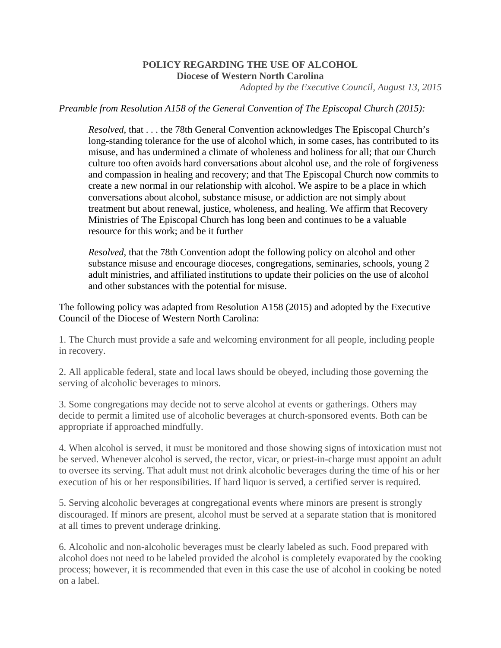## **POLICY REGARDING THE USE OF ALCOHOL Diocese of Western North Carolina**

*Adopted by the Executive Council, August 13, 2015* 

## *Preamble from Resolution A158 of the General Convention of The Episcopal Church (2015):*

*Resolved*, that . . . the 78th General Convention acknowledges The Episcopal Church's long-standing tolerance for the use of alcohol which, in some cases, has contributed to its misuse, and has undermined a climate of wholeness and holiness for all; that our Church culture too often avoids hard conversations about alcohol use, and the role of forgiveness and compassion in healing and recovery; and that The Episcopal Church now commits to create a new normal in our relationship with alcohol. We aspire to be a place in which conversations about alcohol, substance misuse, or addiction are not simply about treatment but about renewal, justice, wholeness, and healing. We affirm that Recovery Ministries of The Episcopal Church has long been and continues to be a valuable resource for this work; and be it further

*Resolved*, that the 78th Convention adopt the following policy on alcohol and other substance misuse and encourage dioceses, congregations, seminaries, schools, young 2 adult ministries, and affiliated institutions to update their policies on the use of alcohol and other substances with the potential for misuse.

The following policy was adapted from Resolution A158 (2015) and adopted by the Executive Council of the Diocese of Western North Carolina:

1. The Church must provide a safe and welcoming environment for all people, including people in recovery.

2. All applicable federal, state and local laws should be obeyed, including those governing the serving of alcoholic beverages to minors.

3. Some congregations may decide not to serve alcohol at events or gatherings. Others may decide to permit a limited use of alcoholic beverages at church-sponsored events. Both can be appropriate if approached mindfully.

4. When alcohol is served, it must be monitored and those showing signs of intoxication must not be served. Whenever alcohol is served, the rector, vicar, or priest-in-charge must appoint an adult to oversee its serving. That adult must not drink alcoholic beverages during the time of his or her execution of his or her responsibilities. If hard liquor is served, a certified server is required.

5. Serving alcoholic beverages at congregational events where minors are present is strongly discouraged. If minors are present, alcohol must be served at a separate station that is monitored at all times to prevent underage drinking.

6. Alcoholic and non-alcoholic beverages must be clearly labeled as such. Food prepared with alcohol does not need to be labeled provided the alcohol is completely evaporated by the cooking process; however, it is recommended that even in this case the use of alcohol in cooking be noted on a label.